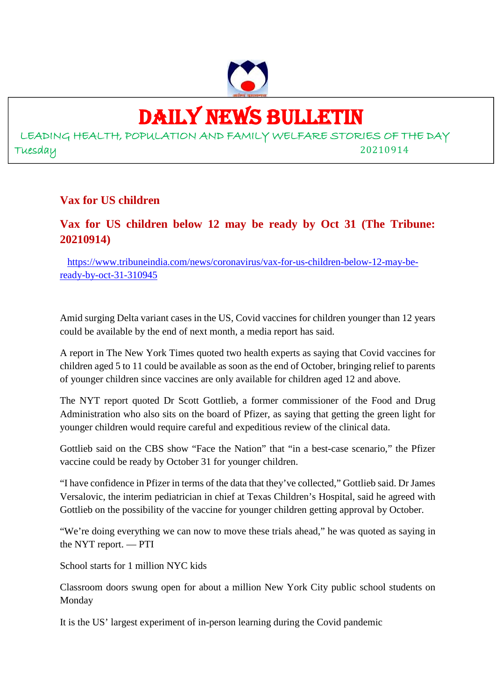

# DAILY NEWS BULLETIN

LEADING HEALTH, POPULATION AND FAMILY WELFARE STORIES OF THE DAY Tuesday 20210914

#### **Vax for US children**

# **Vax for US children below 12 may be ready by Oct 31 (The Tribune: 20210914)**

https://www.tribuneindia.com/news/coronavirus/vax-for-us-children-below-12-may-beready-by-oct-31-310945

Amid surging Delta variant cases in the US, Covid vaccines for children younger than 12 years could be available by the end of next month, a media report has said.

A report in The New York Times quoted two health experts as saying that Covid vaccines for children aged 5 to 11 could be available as soon as the end of October, bringing relief to parents of younger children since vaccines are only available for children aged 12 and above.

The NYT report quoted Dr Scott Gottlieb, a former commissioner of the Food and Drug Administration who also sits on the board of Pfizer, as saying that getting the green light for younger children would require careful and expeditious review of the clinical data.

Gottlieb said on the CBS show "Face the Nation" that "in a best-case scenario," the Pfizer vaccine could be ready by October 31 for younger children.

"I have confidence in Pfizer in terms of the data that they've collected," Gottlieb said. Dr James Versalovic, the interim pediatrician in chief at Texas Children's Hospital, said he agreed with Gottlieb on the possibility of the vaccine for younger children getting approval by October.

"We're doing everything we can now to move these trials ahead," he was quoted as saying in the NYT report. — PTI

School starts for 1 million NYC kids

Classroom doors swung open for about a million New York City public school students on Monday

It is the US' largest experiment of in-person learning during the Covid pandemic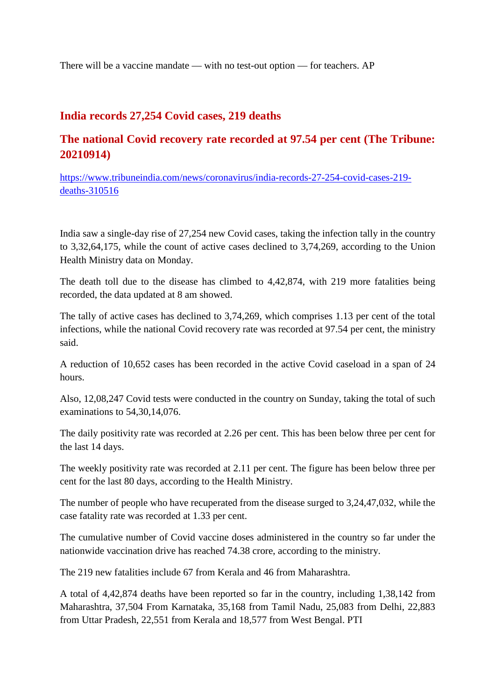There will be a vaccine mandate — with no test-out option — for teachers. AP

#### **India records 27,254 Covid cases, 219 deaths**

# **The national Covid recovery rate recorded at 97.54 per cent (The Tribune: 20210914)**

https://www.tribuneindia.com/news/coronavirus/india-records-27-254-covid-cases-219 deaths-310516

India saw a single-day rise of 27,254 new Covid cases, taking the infection tally in the country to 3,32,64,175, while the count of active cases declined to 3,74,269, according to the Union Health Ministry data on Monday.

The death toll due to the disease has climbed to 4,42,874, with 219 more fatalities being recorded, the data updated at 8 am showed.

The tally of active cases has declined to 3,74,269, which comprises 1.13 per cent of the total infections, while the national Covid recovery rate was recorded at 97.54 per cent, the ministry said.

A reduction of 10,652 cases has been recorded in the active Covid caseload in a span of 24 hours.

Also, 12,08,247 Covid tests were conducted in the country on Sunday, taking the total of such examinations to 54,30,14,076.

The daily positivity rate was recorded at 2.26 per cent. This has been below three per cent for the last 14 days.

The weekly positivity rate was recorded at 2.11 per cent. The figure has been below three per cent for the last 80 days, according to the Health Ministry.

The number of people who have recuperated from the disease surged to 3,24,47,032, while the case fatality rate was recorded at 1.33 per cent.

The cumulative number of Covid vaccine doses administered in the country so far under the nationwide vaccination drive has reached 74.38 crore, according to the ministry.

The 219 new fatalities include 67 from Kerala and 46 from Maharashtra.

A total of 4,42,874 deaths have been reported so far in the country, including 1,38,142 from Maharashtra, 37,504 From Karnataka, 35,168 from Tamil Nadu, 25,083 from Delhi, 22,883 from Uttar Pradesh, 22,551 from Kerala and 18,577 from West Bengal. PTI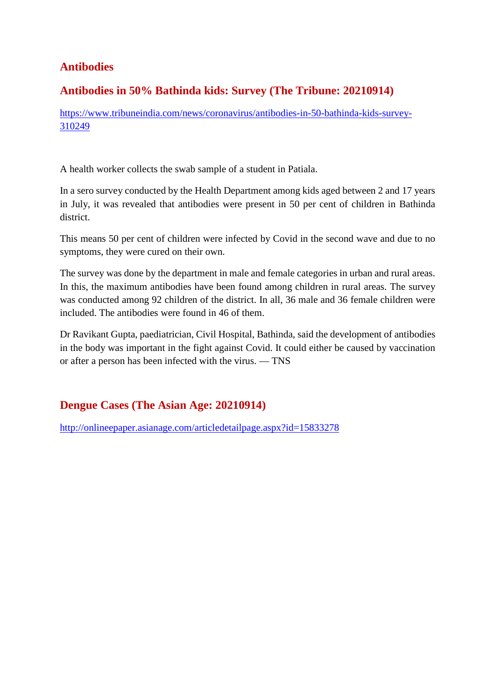# **Antibodies**

#### **Antibodies in 50% Bathinda kids: Survey (The Tribune: 20210914)**

https://www.tribuneindia.com/news/coronavirus/antibodies-in-50-bathinda-kids-survey-310249

A health worker collects the swab sample of a student in Patiala.

In a sero survey conducted by the Health Department among kids aged between 2 and 17 years in July, it was revealed that antibodies were present in 50 per cent of children in Bathinda district.

This means 50 per cent of children were infected by Covid in the second wave and due to no symptoms, they were cured on their own.

The survey was done by the department in male and female categories in urban and rural areas. In this, the maximum antibodies have been found among children in rural areas. The survey was conducted among 92 children of the district. In all, 36 male and 36 female children were included. The antibodies were found in 46 of them.

Dr Ravikant Gupta, paediatrician, Civil Hospital, Bathinda, said the development of antibodies in the body was important in the fight against Covid. It could either be caused by vaccination or after a person has been infected with the virus. — TNS

# **Dengue Cases (The Asian Age: 20210914)**

http://onlineepaper.asianage.com/articledetailpage.aspx?id=15833278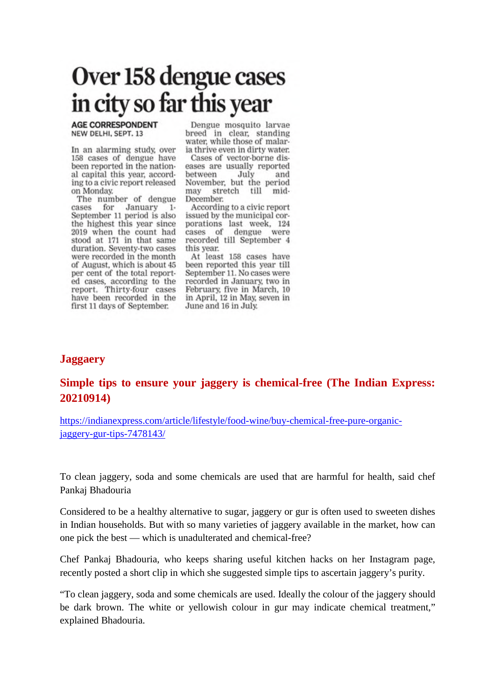# Over 158 dengue cases in city so far this year

**AGE CORRESPONDENT** NEW DELHI, SEPT. 13

In an alarming study, over 158 cases of dengue have been reported in the national capital this year, according to a civic report released on Monday.

The number of dengue for January cases  $1+$ September 11 period is also the highest this year since 2019 when the count had stood at 171 in that same duration. Seventy-two cases were recorded in the month of August, which is about 45 per cent of the total reported cases, according to the report. Thirty-four cases<br>have been recorded in the first 11 days of September.

Dengue mosquito larvae breed in clear, standing water, while those of malaria thrive even in dirty water.

Cases of vector-borne diseases are usually reported between July and November, but the period stretch till may mid-December.

According to a civic report issued by the municipal corporations last week, 124 cases of dengue were recorded till September 4 this year.

At least 158 cases have been reported this year till September 11. No cases were recorded in January, two in February, five in March, 10 in April, 12 in May, seven in June and 16 in July.

#### **Jaggaery**

#### **Simple tips to ensure your jaggery is chemical-free (The Indian Express: 20210914)**

https://indianexpress.com/article/lifestyle/food-wine/buy-chemical-free-pure-organicjaggery-gur-tips-7478143/

To clean jaggery, soda and some chemicals are used that are harmful for health, said chef Pankaj Bhadouria

Considered to be a healthy alternative to sugar, jaggery or gur is often used to sweeten dishes in Indian households. But with so many varieties of jaggery available in the market, how can one pick the best — which is unadulterated and chemical-free?

Chef Pankaj Bhadouria, who keeps sharing useful kitchen hacks on her Instagram page, recently posted a short clip in which she suggested simple tips to ascertain jaggery's purity.

"To clean jaggery, soda and some chemicals are used. Ideally the colour of the jaggery should be dark brown. The white or yellowish colour in gur may indicate chemical treatment," explained Bhadouria.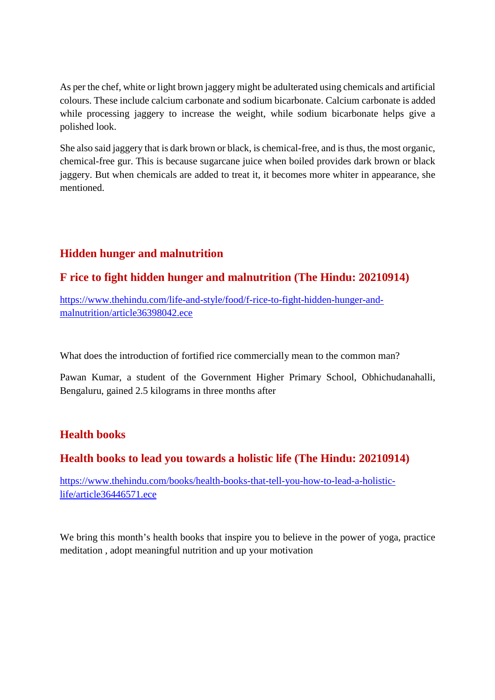As per the chef, white or light brown jaggery might be adulterated using chemicals and artificial colours. These include calcium carbonate and sodium bicarbonate. Calcium carbonate is added while processing jaggery to increase the weight, while sodium bicarbonate helps give a polished look.

She also said jaggery that is dark brown or black, is chemical-free, and is thus, the most organic, chemical-free gur. This is because sugarcane juice when boiled provides dark brown or black jaggery. But when chemicals are added to treat it, it becomes more whiter in appearance, she mentioned.

# **Hidden hunger and malnutrition**

#### **F rice to fight hidden hunger and malnutrition (The Hindu: 20210914)**

https://www.thehindu.com/life-and-style/food/f-rice-to-fight-hidden-hunger-andmalnutrition/article36398042.ece

What does the introduction of fortified rice commercially mean to the common man?

Pawan Kumar, a student of the Government Higher Primary School, Obhichudanahalli, Bengaluru, gained 2.5 kilograms in three months after

# **Health books**

# **Health books to lead you towards a holistic life (The Hindu: 20210914)**

https://www.thehindu.com/books/health-books-that-tell-you-how-to-lead-a-holisticlife/article36446571.ece

We bring this month's health books that inspire you to believe in the power of yoga, practice meditation , adopt meaningful nutrition and up your motivation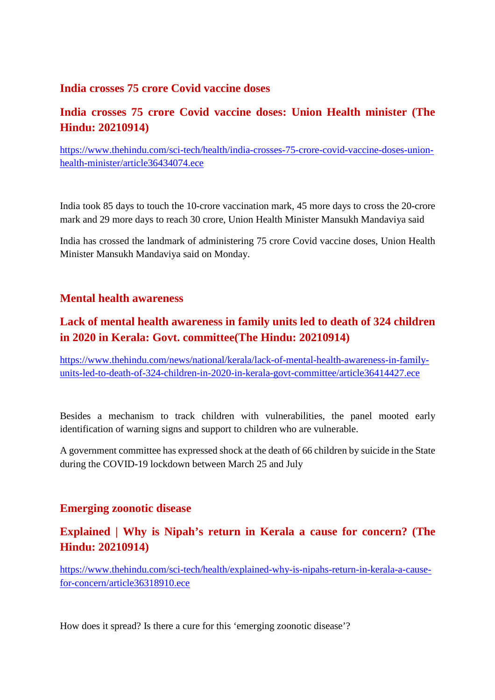#### **India crosses 75 crore Covid vaccine doses**

# **India crosses 75 crore Covid vaccine doses: Union Health minister (The Hindu: 20210914)**

https://www.thehindu.com/sci-tech/health/india-crosses-75-crore-covid-vaccine-doses-unionhealth-minister/article36434074.ece

India took 85 days to touch the 10-crore vaccination mark, 45 more days to cross the 20-crore mark and 29 more days to reach 30 crore, Union Health Minister Mansukh Mandaviya said

India has crossed the landmark of administering 75 crore Covid vaccine doses, Union Health Minister Mansukh Mandaviya said on Monday.

#### **Mental health awareness**

# **Lack of mental health awareness in family units led to death of 324 children in 2020 in Kerala: Govt. committee(The Hindu: 20210914)**

https://www.thehindu.com/news/national/kerala/lack-of-mental-health-awareness-in-familyunits-led-to-death-of-324-children-in-2020-in-kerala-govt-committee/article36414427.ece

Besides a mechanism to track children with vulnerabilities, the panel mooted early identification of warning signs and support to children who are vulnerable.

A government committee has expressed shock at the death of 66 children by suicide in the State during the COVID-19 lockdown between March 25 and July

#### **Emerging zoonotic disease**

# **Explained | Why is Nipah's return in Kerala a cause for concern? (The Hindu: 20210914)**

https://www.thehindu.com/sci-tech/health/explained-why-is-nipahs-return-in-kerala-a-causefor-concern/article36318910.ece

How does it spread? Is there a cure for this 'emerging zoonotic disease'?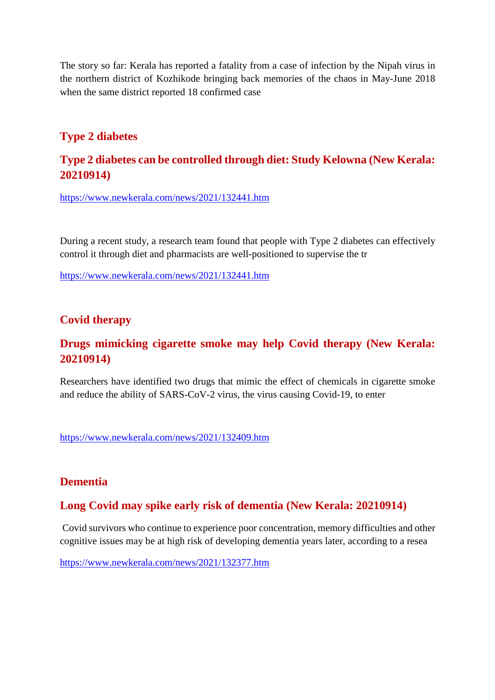The story so far: Kerala has reported a fatality from a case of infection by the Nipah virus in the northern district of Kozhikode bringing back memories of the chaos in May-June 2018 when the same district reported 18 confirmed case

# **Type 2 diabetes**

#### **Type 2 diabetes can be controlled through diet: Study Kelowna (New Kerala: 20210914)**

https://www.newkerala.com/news/2021/132441.htm

During a recent study, a research team found that people with Type 2 diabetes can effectively control it through diet and pharmacists are well-positioned to supervise the tr

https://www.newkerala.com/news/2021/132441.htm

#### **Covid therapy**

# **Drugs mimicking cigarette smoke may help Covid therapy (New Kerala: 20210914)**

Researchers have identified two drugs that mimic the effect of chemicals in cigarette smoke and reduce the ability of SARS-CoV-2 virus, the virus causing Covid-19, to enter

https://www.newkerala.com/news/2021/132409.htm

#### **Dementia**

#### **Long Covid may spike early risk of dementia (New Kerala: 20210914)**

Covid survivors who continue to experience poor concentration, memory difficulties and other cognitive issues may be at high risk of developing dementia years later, according to a resea

https://www.newkerala.com/news/2021/132377.htm